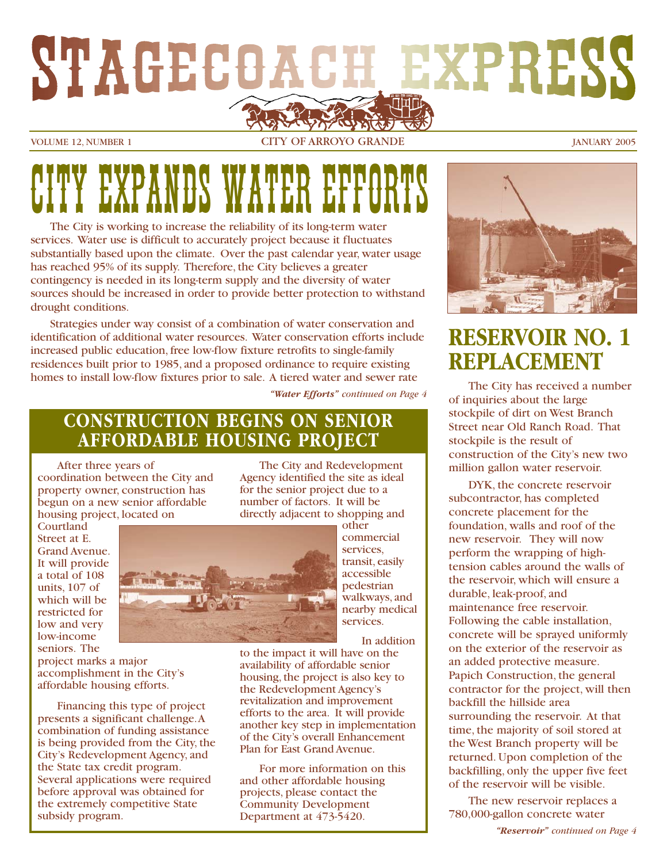# STAGECOACH EXPRESS

VOLUME 12, NUMBER 1 CITY OF ARROYO GRANDE JANUARY 2005

## CITY EXPLORATION WATER THEFT CONTROLS

The City is working to increase the reliability of its long-term water services. Water use is difficult to accurately project because it fluctuates substantially based upon the climate. Over the past calendar year, water usage has reached 95% of its supply. Therefore, the City believes a greater contingency is needed in its long-term supply and the diversity of water sources should be increased in order to provide better protection to withstand drought conditions.

Strategies under way consist of a combination of water conservation and identification of additional water resources. Water conservation efforts include increased public education, free low-flow fixture retrofits to single-family residences built prior to 1985, and a proposed ordinance to require existing homes to install low-flow fixtures prior to sale. A tiered water and sewer rate

*"Water Efforts" continued on Page 4*

#### **CONSTRUCTION BEGINS ON SENIOR AFFORDABLE HOUSING PROJECT**

After three years of coordination between the City and property owner, construction has begun on a new senior affordable housing project, located on

The City and Redevelopment Agency identified the site as ideal directly adjacent to shopping and

Courtland Street at E. Grand Avenue. It will provide a total of 108 units, 107 of which will be restricted for low and very low-income seniors. The



other commercial services, transit, easily accessible pedestrian walkways, and nearby medical services.

In addition

to the impact it will have on the availability of affordable senior housing, the project is also key to the Redevelopment Agency's revitalization and improvement efforts to the area. It will provide another key step in implementation of the City's overall Enhancement Plan for East Grand Avenue.

For more information on this and other affordable housing projects, please contact the Community Development Department at 473-5420.



#### **RESERVOIR NO. 1 REPLACEMENT**

The City has received a number of inquiries about the large stockpile of dirt on West Branch Street near Old Ranch Road. That stockpile is the result of construction of the City's new two million gallon water reservoir.

DYK, the concrete reservoir subcontractor, has completed concrete placement for the foundation, walls and roof of the new reservoir. They will now perform the wrapping of hightension cables around the walls of the reservoir, which will ensure a durable, leak-proof, and maintenance free reservoir. Following the cable installation, concrete will be sprayed uniformly on the exterior of the reservoir as an added protective measure. Papich Construction, the general contractor for the project, will then backfill the hillside area surrounding the reservoir. At that time, the majority of soil stored at the West Branch property will be returned. Upon completion of the backfilling, only the upper five feet of the reservoir will be visible.

The new reservoir replaces a 780,000-gallon concrete water

*"Reservoir" continued on Page 4*

for the senior project due to a number of factors. It will be

project marks a major accomplishment in the City's affordable housing efforts.

Financing this type of project presents a significant challenge.A combination of funding assistance is being provided from the City, the City's Redevelopment Agency, and the State tax credit program. Several applications were required before approval was obtained for the extremely competitive State subsidy program.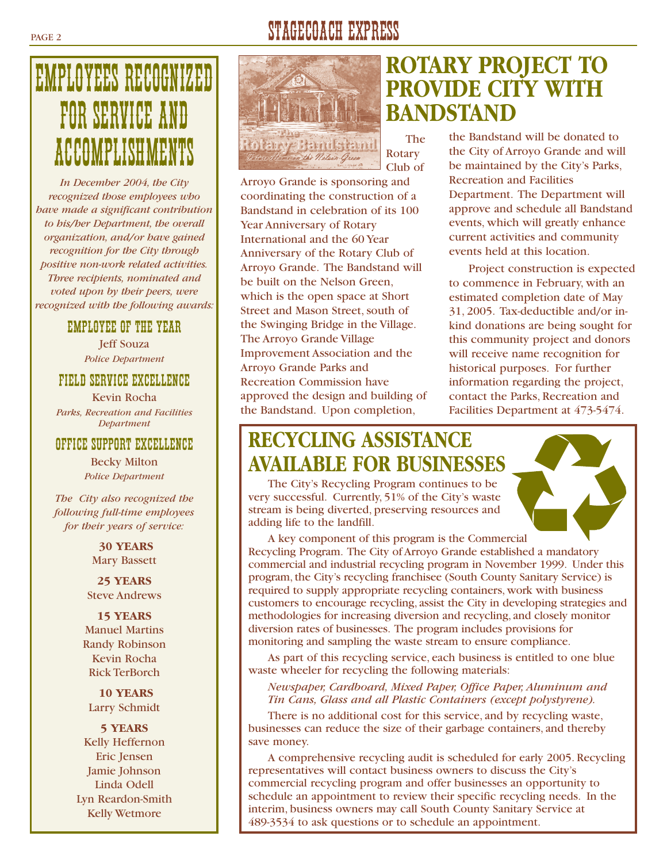### EMPLOYEES RECOGNIZED FOR SERVICE AND ACCOMPLISHMENTS

*In December 2004, the City recognized those employees who have made a significant contribution to his/her Department, the overall organization, and/or have gained recognition for the City through positive non-work related activities. Three recipients, nominated and voted upon by their peers, were recognized with the following awards:*

#### EMPLOYEE OF THE YEAR

Jeff Souza *Police Department*

#### FIELD SERVICE EXCELLENCE

Kevin Rocha *Parks, Recreation and Facilities Department*

#### OFFICE SUPPORT EXCELLENCE

Becky Milton *Police Department*

*The City also recognized the following full-time employees for their years of service:*

> **30 YEARS** Mary Bassett

**25 YEARS** Steve Andrews

**15 YEARS** Manuel Martins Randy Robinson Kevin Rocha Rick TerBorch

**10 YEARS** Larry Schmidt

**5 YEARS** Kelly Heffernon Eric Jensen Jamie Johnson Linda Odell Lyn Reardon-Smith Kelly Wetmore

#### PAGE 2 STAGECOACH EXPRESS



The Rotary Club of

Arroyo Grande is sponsoring and coordinating the construction of a Bandstand in celebration of its 100 Year Anniversary of Rotary International and the 60 Year Anniversary of the Rotary Club of Arroyo Grande. The Bandstand will be built on the Nelson Green, which is the open space at Short Street and Mason Street, south of the Swinging Bridge in the Village. The Arroyo Grande Village Improvement Association and the Arroyo Grande Parks and Recreation Commission have approved the design and building of the Bandstand. Upon completion,

#### **ROTARY PROJECT TO PROVIDE CITY WITH BANDSTAND**

the Bandstand will be donated to the City of Arroyo Grande and will

be maintained by the City's Parks, Recreation and Facilities Department. The Department will approve and schedule all Bandstand events, which will greatly enhance current activities and community events held at this location.

Project construction is expected to commence in February, with an estimated completion date of May 31, 2005. Tax-deductible and/or inkind donations are being sought for this community project and donors will receive name recognition for historical purposes. For further information regarding the project, contact the Parks, Recreation and Facilities Department at 473-5474.

#### **RECYCLING ASSISTANCE AVAILABLE FOR BUSINESSES**

The City's Recycling Program continues to be very successful. Currently, 51% of the City's waste stream is being diverted, preserving resources and adding life to the landfill.



A key component of this program is the Commercial Recycling Program. The City of Arroyo Grande established a mandatory commercial and industrial recycling program in November 1999. Under this program, the City's recycling franchisee (South County Sanitary Service) is required to supply appropriate recycling containers, work with business customers to encourage recycling, assist the City in developing strategies and methodologies for increasing diversion and recycling, and closely monitor diversion rates of businesses. The program includes provisions for monitoring and sampling the waste stream to ensure compliance.

As part of this recycling service, each business is entitled to one blue waste wheeler for recycling the following materials:

*Newspaper, Cardboard, Mixed Paper, Office Paper, Aluminum and Tin Cans, Glass and all Plastic Containers (except polystyrene).*

There is no additional cost for this service, and by recycling waste, businesses can reduce the size of their garbage containers, and thereby save money.

A comprehensive recycling audit is scheduled for early 2005. Recycling representatives will contact business owners to discuss the City's commercial recycling program and offer businesses an opportunity to schedule an appointment to review their specific recycling needs. In the interim, business owners may call South County Sanitary Service at 489-3534 to ask questions or to schedule an appointment.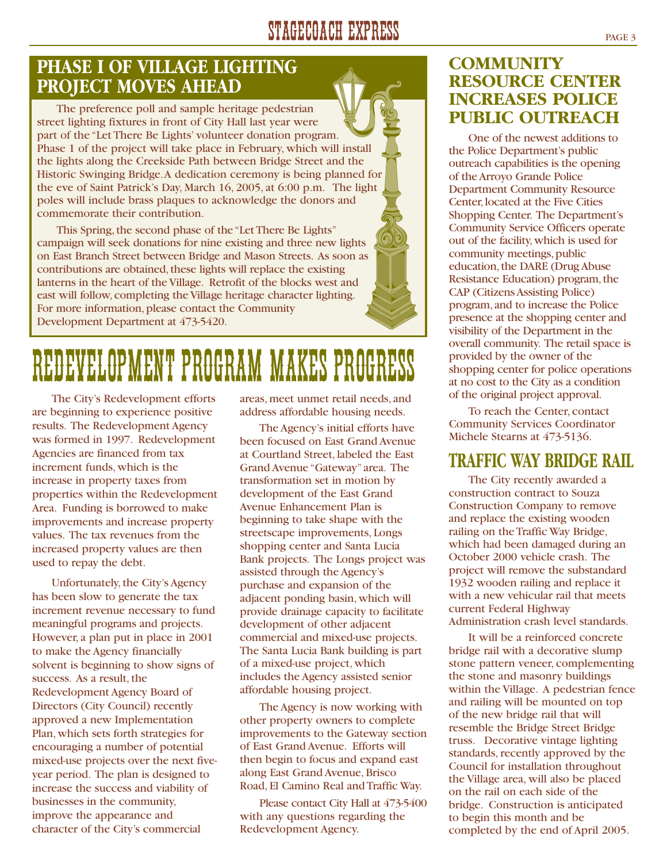#### STAGECOACH EXPRESS PAGE 3

#### **PHASE I OF VILLAGE LIGHTING PROJECT MOVES AHEAD**

The preference poll and sample heritage pedestrian street lighting fixtures in front of City Hall last year were part of the "Let There Be Lights' volunteer donation program. Phase 1 of the project will take place in February, which will install the lights along the Creekside Path between Bridge Street and the Historic Swinging Bridge.A dedication ceremony is being planned for the eve of Saint Patrick's Day, March 16, 2005, at 6:00 p.m. The light poles will include brass plaques to acknowledge the donors and commemorate their contribution.

This Spring, the second phase of the "Let There Be Lights" campaign will seek donations for nine existing and three new lights on East Branch Street between Bridge and Mason Streets. As soon as contributions are obtained, these lights will replace the existing lanterns in the heart of the Village. Retrofit of the blocks west and east will follow, completing the Village heritage character lighting. For more information, please contact the Community Development Department at 473-5420.

## REDEVELOPMENT PROGRAM MAKES PROGRESS

The City's Redevelopment efforts are beginning to experience positive results. The Redevelopment Agency was formed in 1997. Redevelopment Agencies are financed from tax increment funds, which is the increase in property taxes from properties within the Redevelopment Area. Funding is borrowed to make improvements and increase property values. The tax revenues from the increased property values are then used to repay the debt.

Unfortunately, the City's Agency has been slow to generate the tax increment revenue necessary to fund meaningful programs and projects. However, a plan put in place in 2001 to make the Agency financially solvent is beginning to show signs of success. As a result, the Redevelopment Agency Board of Directors (City Council) recently approved a new Implementation Plan, which sets forth strategies for encouraging a number of potential mixed-use projects over the next fiveyear period. The plan is designed to increase the success and viability of businesses in the community, improve the appearance and character of the City's commercial

areas, meet unmet retail needs, and address affordable housing needs.

The Agency's initial efforts have been focused on East Grand Avenue at Courtland Street, labeled the East Grand Avenue "Gateway"area. The transformation set in motion by development of the East Grand Avenue Enhancement Plan is beginning to take shape with the streetscape improvements, Longs shopping center and Santa Lucia Bank projects. The Longs project was assisted through the Agency's purchase and expansion of the adjacent ponding basin, which will provide drainage capacity to facilitate development of other adjacent commercial and mixed-use projects. The Santa Lucia Bank building is part of a mixed-use project, which includes the Agency assisted senior affordable housing project.

The Agency is now working with other property owners to complete improvements to the Gateway section of East Grand Avenue. Efforts will then begin to focus and expand east along East Grand Avenue, Brisco Road, El Camino Real and Traffic Way.

Please contact City Hall at 473-5400 with any questions regarding the Redevelopment Agency.

#### **COMMUNITY RESOURCE CENTER INCREASES POLICE PUBLIC OUTREACH**

One of the newest additions to the Police Department's public outreach capabilities is the opening of the Arroyo Grande Police Department Community Resource Center, located at the Five Cities Shopping Center. The Department's Community Service Officers operate out of the facility,which is used for community meetings, public education, the DARE (Drug Abuse Resistance Education) program, the CAP (Citizens Assisting Police) program,and to increase the Police presence at the shopping center and visibility of the Department in the overall community. The retail space is provided by the owner of the shopping center for police operations at no cost to the City as a condition of the original project approval.

To reach the Center, contact Community Services Coordinator Michele Stearns at 473-5136.

#### **TRAFFIC WAY BRIDGE RAIL**

The City recently awarded a construction contract to Souza Construction Company to remove and replace the existing wooden railing on the Traffic Way Bridge, which had been damaged during an October 2000 vehicle crash. The project will remove the substandard 1932 wooden railing and replace it with a new vehicular rail that meets current Federal Highway Administration crash level standards.

It will be a reinforced concrete bridge rail with a decorative slump stone pattern veneer, complementing the stone and masonry buildings within the Village. A pedestrian fence and railing will be mounted on top of the new bridge rail that will resemble the Bridge Street Bridge truss. Decorative vintage lighting standards, recently approved by the Council for installation throughout the Village area, will also be placed on the rail on each side of the bridge. Construction is anticipated to begin this month and be completed by the end of April 2005.